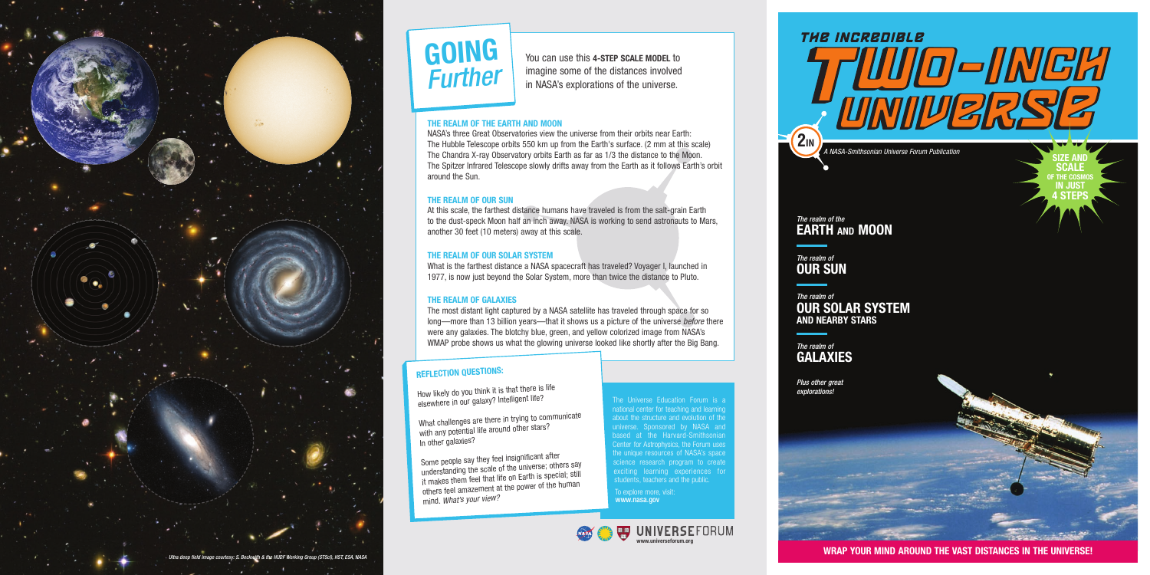**WRAP YOUR MIND AROUND THE VAST DISTANCES IN THE UNIVERSE!**



#### **THE REALM OF THE EARTH AND MOON**

NASA's three Great Observatories view the universe from their orbits near Earth: The Hubble Telescope orbits 550 km up from the Earth's surface. (2 mm at this scale) The Chandra X-ray Observatory orbits Earth as far as 1/3 the distance to the Moon. The Spitzer Infrared Telescope slowly drifts away from the Earth as it follows Earth's orbit around the Sun.

#### **THE REALM OF OUR SUN**

At this scale, the farthest distance humans have traveled is from the salt-grain Earth to the dust-speck Moon half an inch away. NASA is working to send astronauts to Mars, another 30 feet (10 meters) away at this scale.

#### **THE REALM OF OUR SOLAR SYSTEM**

What is the farthest distance a NASA spacecraft has traveled? Voyager I, launched in 1977, is now just beyond the Solar System, more than twice the distance to Pluto.

#### **THE REALM OF GALAXIES**

The most distant light captured by a NASA satellite has traveled through space for so long—more than 13 billion years—that it shows us a picture of the universe *before* there were any galaxies. The blotchy blue, green, and yellow colorized image from NASA's WMAP probe shows us what the glowing universe looked like shortly after the Big Bang.

You can use this **4-STEP SCALE MODEL** to imagine some of the distances involved in NASA's explorations of the universe.



The Universe Education Forum is a national center for teaching and learning about the structure and evolution of the universe. Sponsored by NASA and based at the Harvard-Smithsonian Center for Astrophysics, the Forum uses the unique resources of NASA's space science research program to create exciting learning experiences for students, teachers and the public.

To explore more, visit: www.nasa.gov

#### **REFLECTION QUESTIONS:**

How likely do you think it is that there is life elsewhere in our galaxy? Intelligent life?

What challenges are there in trying to communicate with any potential life around other stars? In other galaxies?

Some people say they feel insignificant after understanding the scale of the universe; others say it makes them feel that life on Earth is special; still others feel amazement at the power of the human mind. *What's your view?*

# **GOING** *Further*